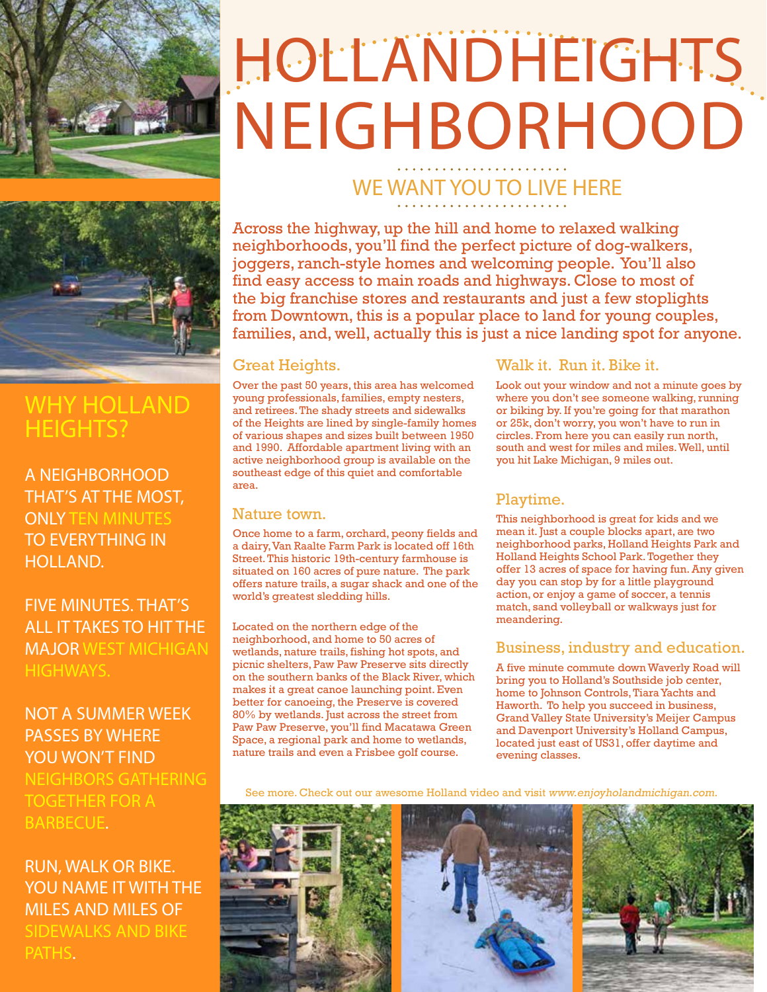

# **HOLLANDHEIGHTS** NEIGHBORHOOD

### WHY HOLLAND HEIGHTS?

A NEIGHBORHOOD THAT'S AT THE MOST, **ONLY TEN MINUTES** TO EVERYTHING IN HOLLAND.

FIVE MINUTES. THAT'S ALL IT TAKES TO HIT THE MAJOR WEST MICHIGAN HIGHWAYS.

NOT A SUMMER WEEK PASSES BY WHERE YOU WON'T FIND NEIGHBORS GATHERING TOGETHER FOR A BARBECUE.

#### RUN, WALK OR BIKE. YOU NAME IT WITH THE MILES AND MILES OF SIDEWALKS AND BIKE PATHS.

## WE WANT YOU TO LIVE HERE

Across the highway, up the hill and home to relaxed walking neighborhoods, you'll find the perfect picture of dog-walkers, joggers, ranch-style homes and welcoming people. You'll also find easy access to main roads and highways. Close to most of the big franchise stores and restaurants and just a few stoplights from Downtown, this is a popular place to land for young couples, families, and, well, actually this is just a nice landing spot for anyone.

#### Great Heights.

Over the past 50 years, this area has welcomed young professionals, families, empty nesters, and retirees. The shady streets and sidewalks of the Heights are lined by single-family homes of various shapes and sizes built between 1950 and 1990. Affordable apartment living with an active neighborhood group is available on the southeast edge of this quiet and comfortable area.

#### Nature town.

Once home to a farm, orchard, peony fields and a dairy, Van Raalte Farm Park is located off 16th Street. This historic 19th-century farmhouse is situated on 160 acres of pure nature. The park offers nature trails, a sugar shack and one of the world's greatest sledding hills.

Located on the northern edge of the neighborhood, and home to 50 acres of wetlands, nature trails, fishing hot spots, and picnic shelters, Paw Paw Preserve sits directly on the southern banks of the Black River, which makes it a great canoe launching point. Even better for canoeing, the Preserve is covered 80% by wetlands. Just across the street from Paw Paw Preserve, you'll find Macatawa Green Space, a regional park and home to wetlands, nature trails and even a Frisbee golf course.

#### Walk it. Run it. Bike it.

Look out your window and not a minute goes by where you don't see someone walking, running or biking by. If you're going for that marathon or 25k, don't worry, you won't have to run in circles. From here you can easily run north, south and west for miles and miles. Well, until you hit Lake Michigan, 9 miles out.

#### Playtime.

This neighborhood is great for kids and we mean it. Just a couple blocks apart, are two neighborhood parks, Holland Heights Park and Holland Heights School Park. Together they offer 13 acres of space for having fun. Any given day you can stop by for a little playground action, or enjoy a game of soccer, a tennis match, sand volleyball or walkways just for meandering.

#### Business, industry and education.

A five minute commute down Waverly Road will bring you to Holland's Southside job center, home to Johnson Controls, Tiara Yachts and Haworth. To help you succeed in business, Grand Valley State University's Meijer Campus and Davenport University's Holland Campus, located just east of US31, offer daytime and evening classes.

See more. Check out our awesome Holland video and visit www.enjoyholandmichigan.com.